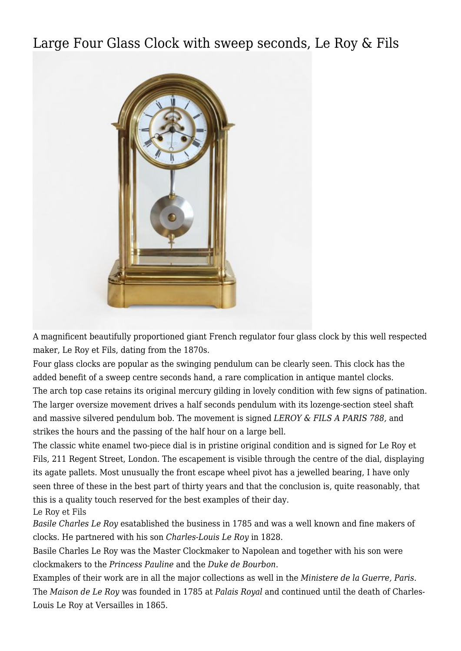## [Large Four Glass Clock with sweep seconds, Le Roy & Fils](http://www.ukclocks.com/products/large-four-glass-clock-le-roy/)



A magnificent beautifully proportioned giant French regulator four glass clock by this well respected maker, Le Roy et Fils, dating from the 1870s.

Four glass clocks are popular as the swinging pendulum can be clearly seen. This clock has the added benefit of a sweep centre seconds hand, a rare complication in antique mantel clocks. The arch top case retains its original mercury gilding in lovely condition with few signs of patination. The larger oversize movement drives a half seconds pendulum with its lozenge-section steel shaft and massive silvered pendulum bob. The movement is signed *LEROY & FILS A PARIS 788,* and strikes the hours and the passing of the half hour on a large bell.

The classic white enamel two-piece dial is in pristine original condition and is signed for Le Roy et Fils, 211 Regent Street, London. The escapement is visible through the centre of the dial, displaying its agate pallets. Most unusually the front escape wheel pivot has a jewelled bearing, I have only seen three of these in the best part of thirty years and that the conclusion is, quite reasonably, that this is a quality touch reserved for the best examples of their day.

Le Roy et Fils

*Basile Charles Le Roy* esatablished the business in 1785 and was a well known and fine makers of clocks. He partnered with his son *Charles-Louis Le Roy* in 1828.

Basile Charles Le Roy was the Master Clockmaker to Napolean and together with his son were clockmakers to the *Princess Pauline* and the *Duke de Bourbon*.

Examples of their work are in all the major collections as well in the *Ministere de la Guerre, Paris*. The *Maison de Le Roy* was founded in 1785 at *Palais Royal* and continued until the death of Charles-Louis Le Roy at Versailles in 1865.